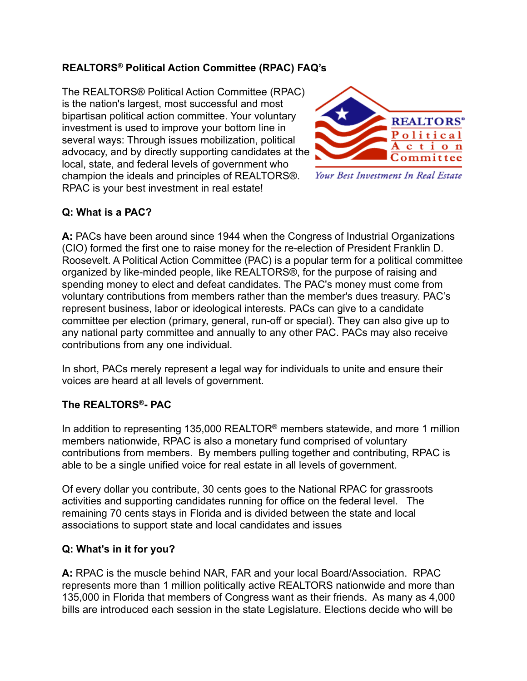# **REALTORS® Political Action Committee (RPAC) FAQ's**

The REALTORS® Political Action Committee (RPAC) is the nation's largest, most successful and most bipartisan political action committee. Your voluntary investment is used to improve your bottom line in several ways: Through issues mobilization, political advocacy, and by directly supporting candidates at the local, state, and federal levels of government who champion the ideals and principles of REALTORS®. RPAC is your best investment in real estate!



Your Best Investment In Real Estate

### **Q: What is a PAC?**

**A:** PACs have been around since 1944 when the Congress of Industrial Organizations (CIO) formed the first one to raise money for the re-election of President Franklin D. Roosevelt. A Political Action Committee (PAC) is a popular term for a political committee organized by like-minded people, like REALTORS®, for the purpose of raising and spending money to elect and defeat candidates. The PAC's money must come from voluntary contributions from members rather than the member's dues treasury. PAC's represent business, labor or ideological interests. PACs can give to a candidate committee per election (primary, general, run-off or special). They can also give up to any national party committee and annually to any other PAC. PACs may also receive contributions from any one individual.

In short, PACs merely represent a legal way for individuals to unite and ensure their voices are heard at all levels of government.

### **The REALTORS®- PAC**

In addition to representing 135,000 REALTOR® members statewide, and more 1 million members nationwide, RPAC is also a monetary fund comprised of voluntary contributions from members. By members pulling together and contributing, RPAC is able to be a single unified voice for real estate in all levels of government.

Of every dollar you contribute, 30 cents goes to the National RPAC for grassroots activities and supporting candidates running for office on the federal level. The remaining 70 cents stays in Florida and is divided between the state and local associations to support state and local candidates and issues

### **Q: What's in it for you?**

**A:** RPAC is the muscle behind NAR, FAR and your local Board/Association. RPAC represents more than 1 million politically active REALTORS nationwide and more than 135,000 in Florida that members of Congress want as their friends. As many as 4,000 bills are introduced each session in the state Legislature. Elections decide who will be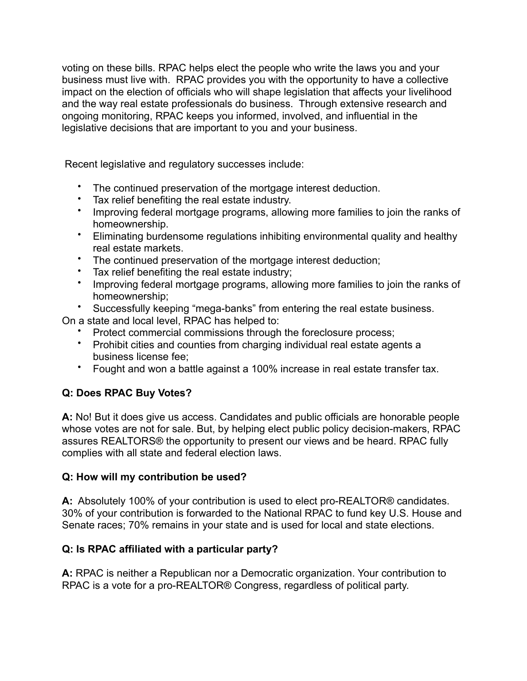voting on these bills. RPAC helps elect the people who write the laws you and your business must live with. RPAC provides you with the opportunity to have a collective impact on the election of officials who will shape legislation that affects your livelihood and the way real estate professionals do business. Through extensive research and ongoing monitoring, RPAC keeps you informed, involved, and influential in the legislative decisions that are important to you and your business.

Recent legislative and regulatory successes include:

- The continued preservation of the mortgage interest deduction.
- Tax relief benefiting the real estate industry.
- Improving federal mortgage programs, allowing more families to join the ranks of homeownership.
- Eliminating burdensome regulations inhibiting environmental quality and healthy real estate markets.
- The continued preservation of the mortgage interest deduction;
- Tax relief benefiting the real estate industry;
- Improving federal mortgage programs, allowing more families to join the ranks of homeownership;
- Successfully keeping "mega-banks" from entering the real estate business.

On a state and local level, RPAC has helped to:

- Protect commercial commissions through the foreclosure process;
- Prohibit cities and counties from charging individual real estate agents a business license fee;
- Fought and won a battle against a 100% increase in real estate transfer tax.

# **Q: Does RPAC Buy Votes?**

**A:** No! But it does give us access. Candidates and public officials are honorable people whose votes are not for sale. But, by helping elect public policy decision-makers, RPAC assures REALTORS® the opportunity to present our views and be heard. RPAC fully complies with all state and federal election laws.

### **Q: How will my contribution be used?**

**A:** Absolutely 100% of your contribution is used to elect pro-REALTOR® candidates. 30% of your contribution is forwarded to the National RPAC to fund key U.S. House and Senate races; 70% remains in your state and is used for local and state elections.

# **Q: Is RPAC affiliated with a particular party?**

**A:** RPAC is neither a Republican nor a Democratic organization. Your contribution to RPAC is a vote for a pro-REALTOR® Congress, regardless of political party.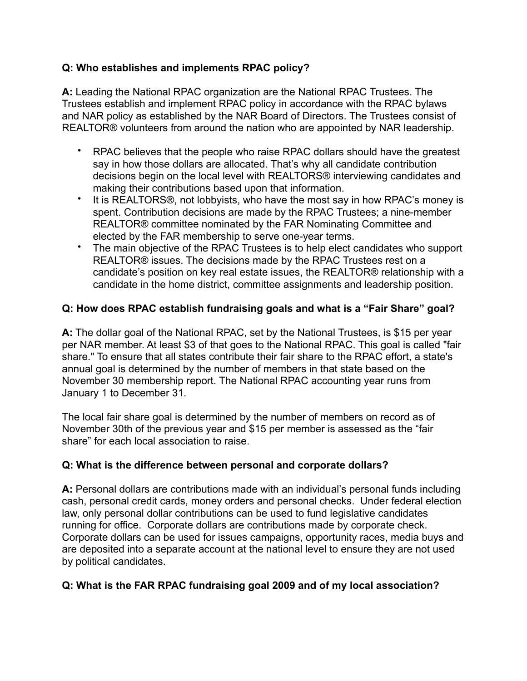### **Q: Who establishes and implements RPAC policy?**

**A:** Leading the National RPAC organization are the National RPAC Trustees. The Trustees establish and implement RPAC policy in accordance with the RPAC bylaws and NAR policy as established by the NAR Board of Directors. The Trustees consist of REALTOR® volunteers from around the nation who are appointed by NAR leadership.

- RPAC believes that the people who raise RPAC dollars should have the greatest say in how those dollars are allocated. That's why all candidate contribution decisions begin on the local level with REALTORS® interviewing candidates and making their contributions based upon that information.
- It is REALTORS<sup>®</sup>, not lobbyists, who have the most say in how RPAC's money is spent. Contribution decisions are made by the RPAC Trustees; a nine-member REALTOR® committee nominated by the FAR Nominating Committee and elected by the FAR membership to serve one-year terms.
- The main objective of the RPAC Trustees is to help elect candidates who support REALTOR® issues. The decisions made by the RPAC Trustees rest on a candidate's position on key real estate issues, the REALTOR® relationship with a candidate in the home district, committee assignments and leadership position.

# **Q: How does RPAC establish fundraising goals and what is a "Fair Share" goal?**

**A:** The dollar goal of the National RPAC, set by the National Trustees, is \$15 per year per NAR member. At least \$3 of that goes to the National RPAC. This goal is called "fair share." To ensure that all states contribute their fair share to the RPAC effort, a state's annual goal is determined by the number of members in that state based on the November 30 membership report. The National RPAC accounting year runs from January 1 to December 31.

The local fair share goal is determined by the number of members on record as of November 30th of the previous year and \$15 per member is assessed as the "fair share" for each local association to raise.

### **Q: What is the difference between personal and corporate dollars?**

**A:** Personal dollars are contributions made with an individual's personal funds including cash, personal credit cards, money orders and personal checks. Under federal election law, only personal dollar contributions can be used to fund legislative candidates running for office. Corporate dollars are contributions made by corporate check. Corporate dollars can be used for issues campaigns, opportunity races, media buys and are deposited into a separate account at the national level to ensure they are not used by political candidates.

### **Q: What is the FAR RPAC fundraising goal 2009 and of my local association?**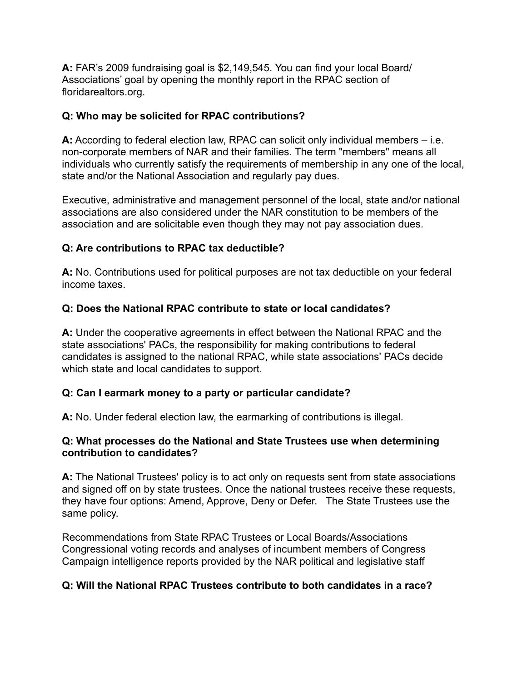**A:** FAR's 2009 fundraising goal is \$2,149,545. You can find your local Board/ Associations' goal by opening the monthly report in the RPAC section of floridarealtors.org.

### **Q: Who may be solicited for RPAC contributions?**

**A:** According to federal election law, RPAC can solicit only individual members – i.e. non-corporate members of NAR and their families. The term "members" means all individuals who currently satisfy the requirements of membership in any one of the local, state and/or the National Association and regularly pay dues.

Executive, administrative and management personnel of the local, state and/or national associations are also considered under the NAR constitution to be members of the association and are solicitable even though they may not pay association dues.

# **Q: Are contributions to RPAC tax deductible?**

**A:** No. Contributions used for political purposes are not tax deductible on your federal income taxes.

# **Q: Does the National RPAC contribute to state or local candidates?**

**A:** Under the cooperative agreements in effect between the National RPAC and the state associations' PACs, the responsibility for making contributions to federal candidates is assigned to the national RPAC, while state associations' PACs decide which state and local candidates to support.

# **Q: Can I earmark money to a party or particular candidate?**

**A:** No. Under federal election law, the earmarking of contributions is illegal.

### **Q: What processes do the National and State Trustees use when determining contribution to candidates?**

**A:** The National Trustees' policy is to act only on requests sent from state associations and signed off on by state trustees. Once the national trustees receive these requests, they have four options: Amend, Approve, Deny or Defer. The State Trustees use the same policy.

Recommendations from State RPAC Trustees or Local Boards/Associations Congressional voting records and analyses of incumbent members of Congress Campaign intelligence reports provided by the NAR political and legislative staff

# **Q: Will the National RPAC Trustees contribute to both candidates in a race?**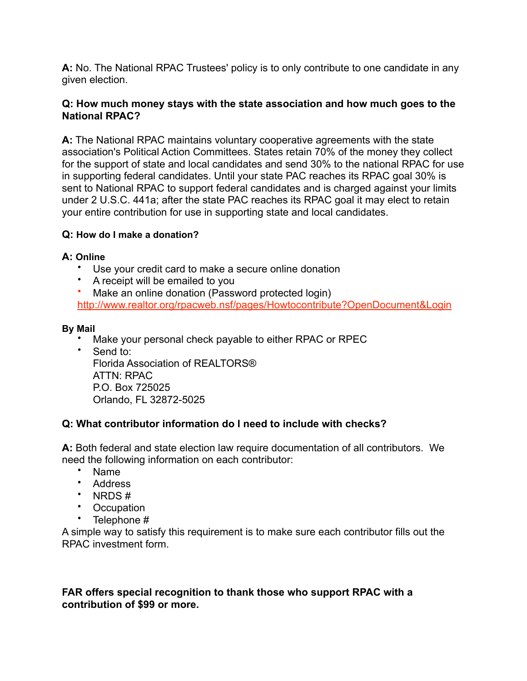**A:** No. The National RPAC Trustees' policy is to only contribute to one candidate in any given election.

#### **Q: How much money stays with the state association and how much goes to the National RPAC?**

**A:** The National RPAC maintains voluntary cooperative agreements with the state association's Political Action Committees. States retain 70% of the money they collect for the support of state and local candidates and send 30% to the national RPAC for use in supporting federal candidates. Until your state PAC reaches its RPAC goal 30% is sent to National RPAC to support federal candidates and is charged against your limits under 2 U.S.C. 441a; after the state PAC reaches its RPAC goal it may elect to retain your entire contribution for use in supporting state and local candidates.

### **Q: How do I make a donation?**

#### **A: Online**

- Use your credit card to make a secure online donation
- A receipt will be emailed to you
- Make an online donation (Password protected login) <http://www.realtor.org/rpacweb.nsf/pages/Howtocontribute?OpenDocument&Login>

#### **By Mail**

- Make your personal check payable to either RPAC or RPEC
- Send to: Florida Association of REALTORS® ATTN: RPAC P.O. Box 725025 Orlando, FL 32872-5025

### **Q: What contributor information do I need to include with checks?**

**A:** Both federal and state election law require documentation of all contributors. We need the following information on each contributor:

- Name
- Address
- NRDS #
- Occupation
- Telephone #

A simple way to satisfy this requirement is to make sure each contributor fills out the RPAC investment form.

### **FAR offers special recognition to thank those who support RPAC with a contribution of \$99 or more.**